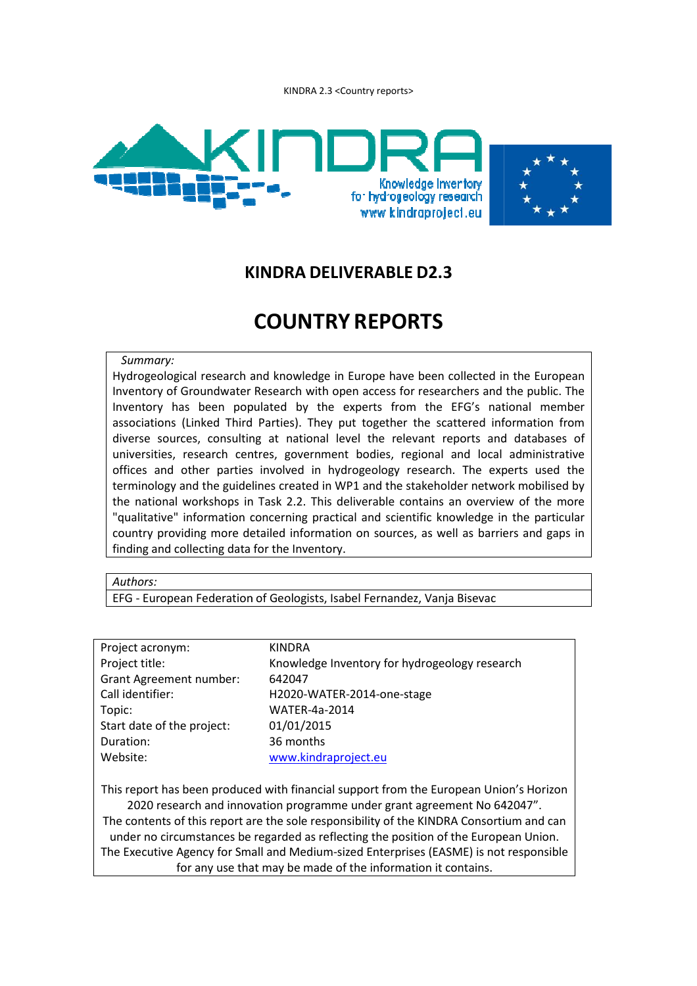KINDRA 2.3 <Country reports>



## **KINDRA DELIVERABLE D2.3**

# **COUNTRY REPORTS**

#### *Summary:*

Hydrogeological research and knowledge in Europe have been collected in the European Inventory of Groundwater Research with open access for researchers and the public. The Inventory has been populated by the experts from the EFG's national member associations (Linked Third Parties). They put together the scattered information from diverse sources, consulting at national level the relevant reports and databases of universities, research centres, government bodies, regional and local administrative offices and other parties involved in hydrogeology research. The experts used the terminology and the guidelines created in WP1 and the stakeholder network mobilised by the national workshops in Task 2.2. This deliverable contains an overview of the more "qualitative" information concerning practical and scientific knowledge in the particular country providing more detailed information on sources, as well as barriers and gaps in finding and collecting data for the Inventory.

#### *Authors:*

EFG - European Federation of Geologists, Isabel Fernandez, Vanja Bisevac

| Project acronym:                                                                         | <b>KINDRA</b>                                 |  |  |
|------------------------------------------------------------------------------------------|-----------------------------------------------|--|--|
| Project title:                                                                           | Knowledge Inventory for hydrogeology research |  |  |
| <b>Grant Agreement number:</b>                                                           | 642047                                        |  |  |
| Call identifier:                                                                         | H2020-WATER-2014-one-stage                    |  |  |
| Topic:                                                                                   | <b>WATER-4a-2014</b>                          |  |  |
| Start date of the project:                                                               | 01/01/2015                                    |  |  |
| Duration:                                                                                | 36 months                                     |  |  |
| Website:                                                                                 | www.kindraproject.eu                          |  |  |
|                                                                                          |                                               |  |  |
| This report has been produced with financial support from the European Union's Horizon   |                                               |  |  |
| 2020 research and innovation programme under grant agreement No 642047".                 |                                               |  |  |
| The contents of this report are the sole responsibility of the KINDRA Consortium and can |                                               |  |  |
| under no circumstances be regarded as reflecting the position of the European Union.     |                                               |  |  |
| The Executive Agency for Small and Medium-sized Enterprises (EASME) is not responsible   |                                               |  |  |

for any use that may be made of the information it contains.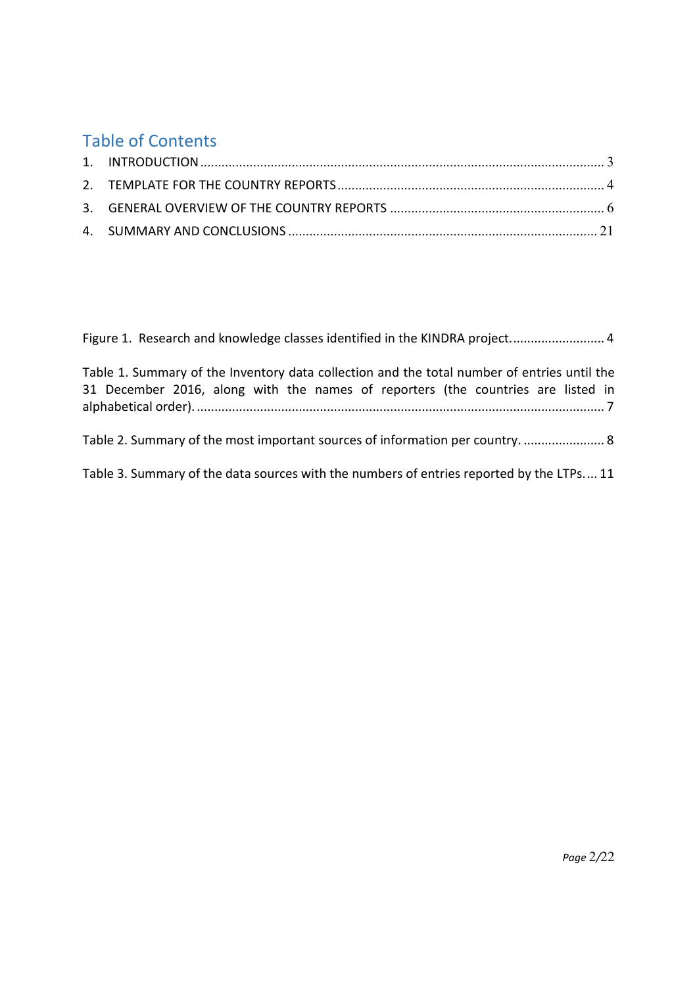# Table of Contents

| Figure 1. Research and knowledge classes identified in the KINDRA project 4                                                                                                     |
|---------------------------------------------------------------------------------------------------------------------------------------------------------------------------------|
| Table 1. Summary of the Inventory data collection and the total number of entries until the<br>31 December 2016, along with the names of reporters (the countries are listed in |
| Table 2. Summary of the most important sources of information per country.  8                                                                                                   |
| Table 3. Summary of the data sources with the numbers of entries reported by the LTPs 11                                                                                        |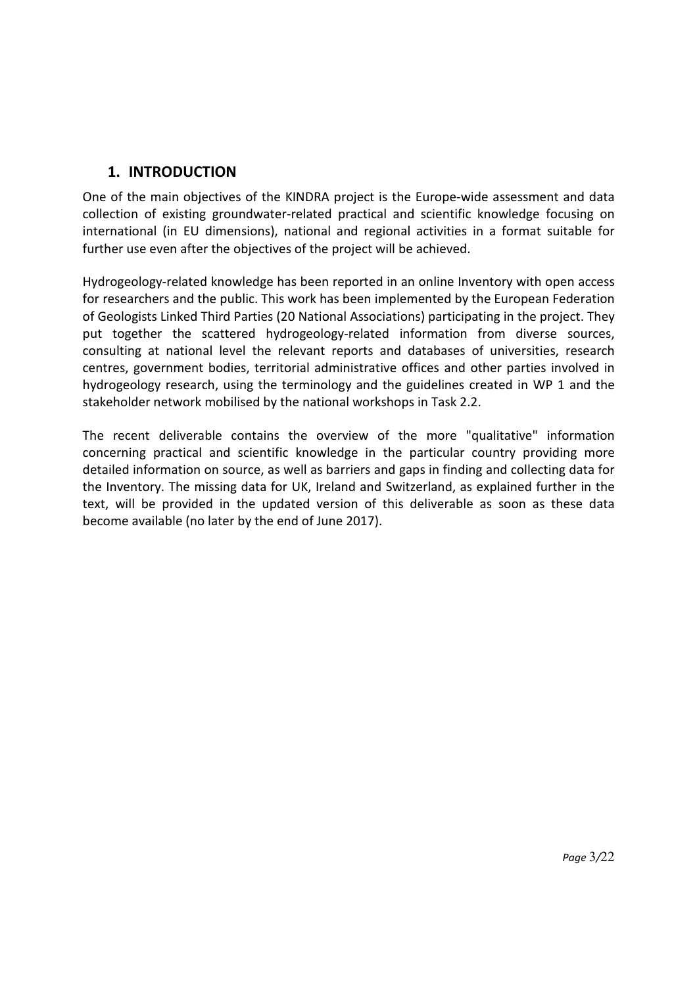## **1. INTRODUCTION**

One of the main objectives of the KINDRA project is the Europe-wide assessment and data collection of existing groundwater-related practical and scientific knowledge focusing on international (in EU dimensions), national and regional activities in a format suitable for further use even after the objectives of the project will be achieved.

Hydrogeology-related knowledge has been reported in an online Inventory with open access for researchers and the public. This work has been implemented by the European Federation of Geologists Linked Third Parties (20 National Associations) participating in the project. They put together the scattered hydrogeology-related information from diverse sources, consulting at national level the relevant reports and databases of universities, research centres, government bodies, territorial administrative offices and other parties involved in hydrogeology research, using the terminology and the guidelines created in WP 1 and the stakeholder network mobilised by the national workshops in Task 2.2.

The recent deliverable contains the overview of the more "qualitative" information concerning practical and scientific knowledge in the particular country providing more detailed information on source, as well as barriers and gaps in finding and collecting data for the Inventory. The missing data for UK, Ireland and Switzerland, as explained further in the text, will be provided in the updated version of this deliverable as soon as these data become available (no later by the end of June 2017).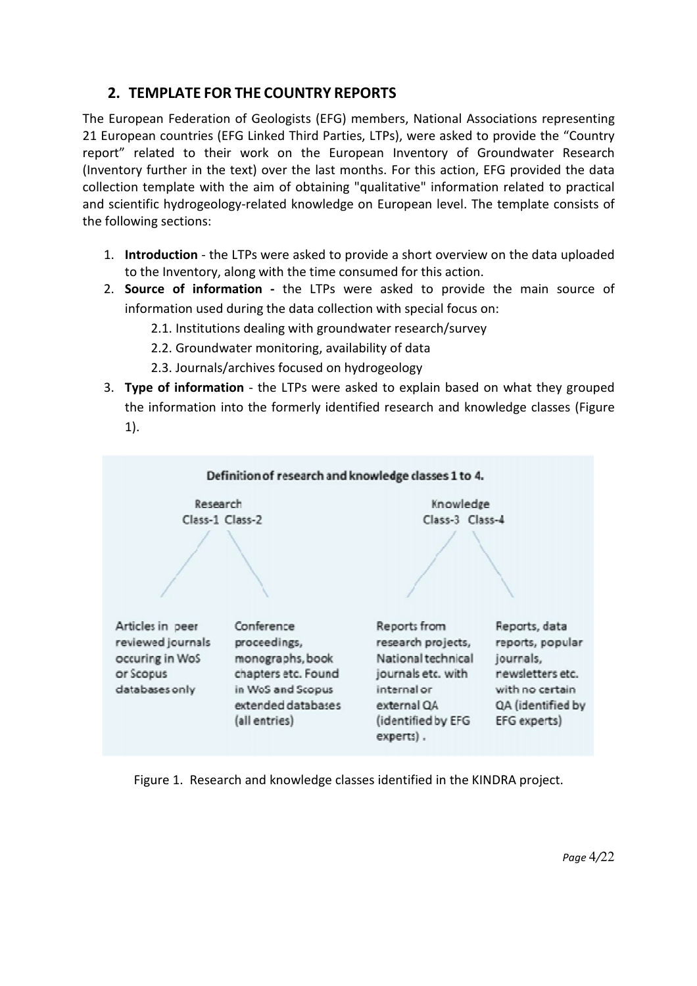## **2. TEMPLATE FOR THE COUNTRY REPORTS**

The European Federation of Geologists (EFG) members, National Associations representing 21 European countries (EFG Linked Third Parties, LTPs), were asked to provide the "Country report" related to their work on the European Inventory of Groundwater Research (Inventory further in the text) over the last months. For this action, EFG provided the data collection template with the aim of obtaining "qualitative" information related to practical and scientific hydrogeology-related knowledge on European level. The template consists of the following sections:

- 1. **Introduction** the LTPs were asked to provide a short overview on the data uploaded to the Inventory, along with the time consumed for this action.
- 2. **Source of information** the LTPs were asked to provide the main source of information used during the data collection with special focus on:
	- 2.1. Institutions dealing with groundwater research/survey
	- 2.2. Groundwater monitoring, availability of data
	- 2.3. Journals/archives focused on hydrogeology
- 3. Type of information the LTPs were asked to explain based on what they grouped the information into the formerly identified research and knowledge classes (Figure 1).



Figure 1. Research and knowledge classes identified in the KINDRA project.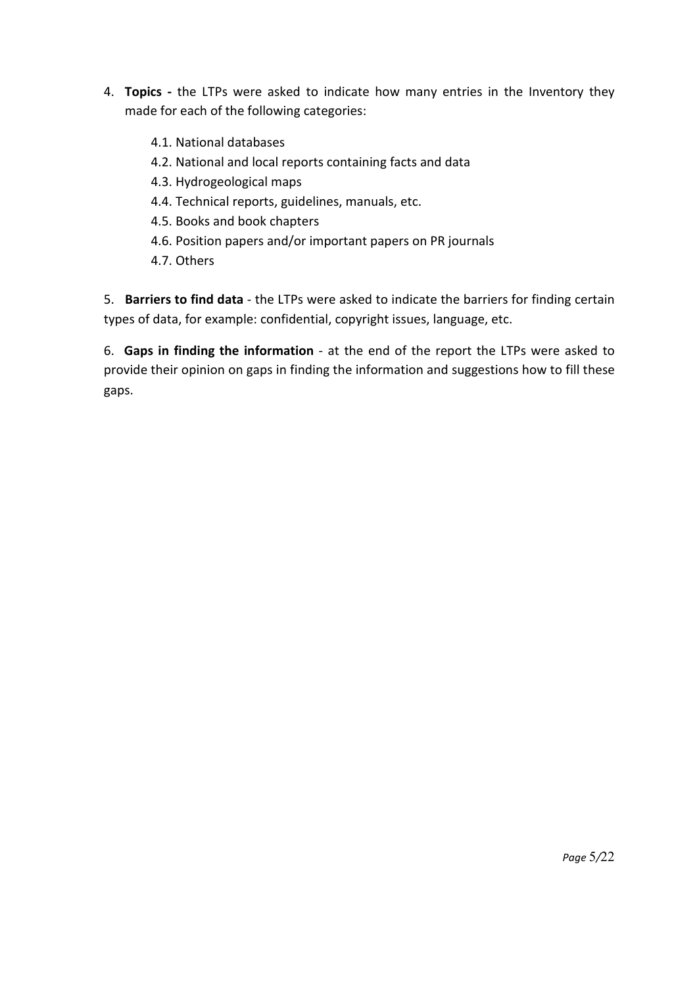- 4. **Topics** the LTPs were asked to indicate how many entries in the Inventory they made for each of the following categories:
	- 4.1. National databases
	- 4.2. National and local reports containing facts and data
	- 4.3. Hydrogeological maps
	- 4.4. Technical reports, guidelines, manuals, etc.
	- 4.5. Books and book chapters
	- 4.6. Position papers and/or important papers on PR journals
	- 4.7. Others

5. **Barriers to find data** - the LTPs were asked to indicate the barriers for finding certain types of data, for example: confidential, copyright issues, language, etc.

6. **Gaps in finding the information** - at the end of the report the LTPs were asked to provide their opinion on gaps in finding the information and suggestions how to fill these gaps.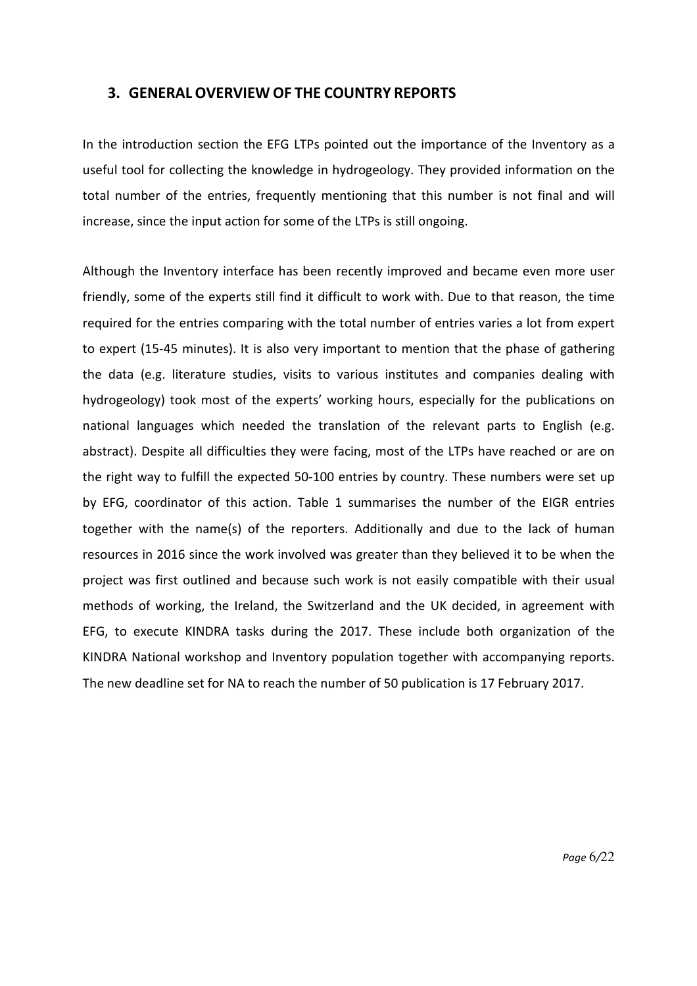## **3. GENERAL OVERVIEW OF THE COUNTRY REPORTS**

In the introduction section the EFG LTPs pointed out the importance of the Inventory as a useful tool for collecting the knowledge in hydrogeology. They provided information on the total number of the entries, frequently mentioning that this number is not final and will increase, since the input action for some of the LTPs is still ongoing.

Although the Inventory interface has been recently improved and became even more user friendly, some of the experts still find it difficult to work with. Due to that reason, the time required for the entries comparing with the total number of entries varies a lot from expert to expert (15-45 minutes). It is also very important to mention that the phase of gathering the data (e.g. literature studies, visits to various institutes and companies dealing with hydrogeology) took most of the experts' working hours, especially for the publications on national languages which needed the translation of the relevant parts to English (e.g. abstract). Despite all difficulties they were facing, most of the LTPs have reached or are on the right way to fulfill the expected 50-100 entries by country. These numbers were set up by EFG, coordinator of this action. Table 1 summarises the number of the EIGR entries together with the name(s) of the reporters. Additionally and due to the lack of human resources in 2016 since the work involved was greater than they believed it to be when the project was first outlined and because such work is not easily compatible with their usual methods of working, the Ireland, the Switzerland and the UK decided, in agreement with EFG, to execute KINDRA tasks during the 2017. These include both organization of the KINDRA National workshop and Inventory population together with accompanying reports. The new deadline set for NA to reach the number of 50 publication is 17 February 2017.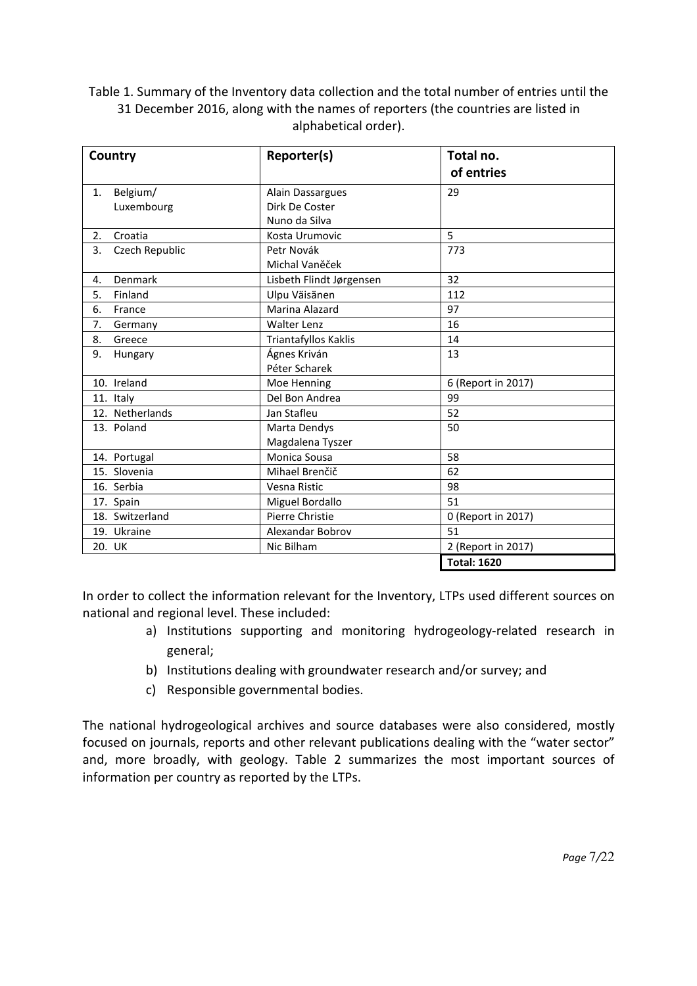Table 1. Summary of the Inventory data collection and the total number of entries until the 31 December 2016, along with the names of reporters (the countries are listed in alphabetical order).

| Country              | Reporter(s)              | Total no.<br>of entries |
|----------------------|--------------------------|-------------------------|
|                      |                          |                         |
| Belgium/<br>1.       | Alain Dassargues         | 29                      |
| Luxembourg           | Dirk De Coster           |                         |
|                      | Nuno da Silva            |                         |
| Croatia<br>2.        | Kosta Urumovic           | 5                       |
| 3.<br>Czech Republic | Petr Novák               | 773                     |
|                      | Michal Vaněček           |                         |
| Denmark<br>4.        | Lisbeth Flindt Jørgensen | 32                      |
| Finland<br>5.        | Ulpu Väisänen            | 112                     |
| 6.<br>France         | Marina Alazard           | 97                      |
| 7.<br>Germany        | <b>Walter Lenz</b>       | 16                      |
| 8.<br>Greece         | Triantafyllos Kaklis     | 14                      |
| 9.<br>Hungary        | Ágnes Kriván             | 13                      |
|                      | Péter Scharek            |                         |
| 10. Ireland          | Moe Henning              | 6 (Report in 2017)      |
| 11. Italy            | Del Bon Andrea           | 99                      |
| 12. Netherlands      | Jan Stafleu              | 52                      |
| 13. Poland           | Marta Dendys             | 50                      |
|                      | Magdalena Tyszer         |                         |
| 14. Portugal         | Monica Sousa             | 58                      |
| 15. Slovenia         | Mihael Brenčič           | 62                      |
| 16. Serbia           | Vesna Ristic             | 98                      |
| 17. Spain            | Miguel Bordallo          | 51                      |
| 18. Switzerland      | Pierre Christie          | 0 (Report in 2017)      |
| 19. Ukraine          | Alexandar Bobrov         | 51                      |
| 20. UK               | Nic Bilham               | 2 (Report in 2017)      |
|                      |                          | <b>Total: 1620</b>      |

In order to collect the information relevant for the Inventory, LTPs used different sources on national and regional level. These included:

- a) Institutions supporting and monitoring hydrogeology-related research in general;
- b) Institutions dealing with groundwater research and/or survey; and
- c) Responsible governmental bodies.

The national hydrogeological archives and source databases were also considered, mostly focused on journals, reports and other relevant publications dealing with the "water sector" and, more broadly, with geology. Table 2 summarizes the most important sources of information per country as reported by the LTPs.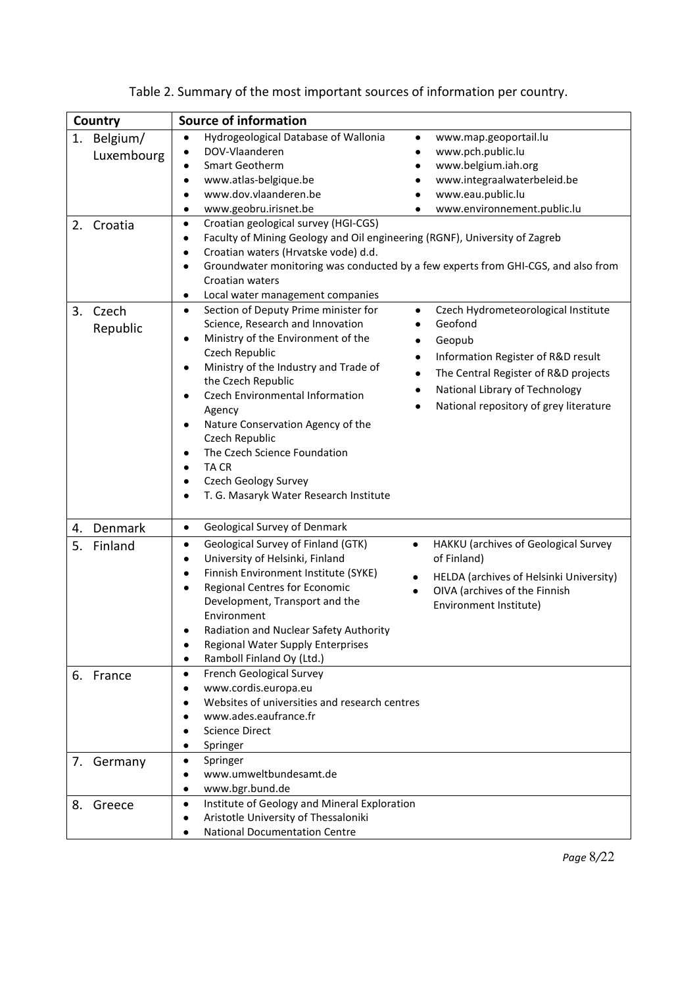| Country                      | <b>Source of information</b>                                                                                                                                                                                                                                                                                                                                                                                                                                                                                                                                                                                                                                                                               |  |  |  |  |
|------------------------------|------------------------------------------------------------------------------------------------------------------------------------------------------------------------------------------------------------------------------------------------------------------------------------------------------------------------------------------------------------------------------------------------------------------------------------------------------------------------------------------------------------------------------------------------------------------------------------------------------------------------------------------------------------------------------------------------------------|--|--|--|--|
| 1.<br>Belgium/<br>Luxembourg | Hydrogeological Database of Wallonia<br>www.map.geoportail.lu<br>$\bullet$<br>$\bullet$<br>DOV-Vlaanderen<br>www.pch.public.lu<br>Smart Geotherm<br>www.belgium.iah.org<br>www.atlas-belgique.be<br>www.integraalwaterbeleid.be<br>www.dov.vlaanderen.be<br>www.eau.public.lu<br>www.geobru.irisnet.be<br>www.environnement.public.lu<br>٠                                                                                                                                                                                                                                                                                                                                                                 |  |  |  |  |
| 2. Croatia                   | Croatian geological survey (HGI-CGS)<br>٠<br>Faculty of Mining Geology and Oil engineering (RGNF), University of Zagreb<br>$\bullet$<br>Croatian waters (Hrvatske vode) d.d.<br>$\bullet$<br>Groundwater monitoring was conducted by a few experts from GHI-CGS, and also from<br>$\bullet$<br>Croatian waters<br>Local water management companies<br>$\bullet$                                                                                                                                                                                                                                                                                                                                            |  |  |  |  |
| 3.<br>Czech<br>Republic      | Section of Deputy Prime minister for<br>Czech Hydrometeorological Institute<br>$\bullet$<br>$\bullet$<br>Geofond<br>Science, Research and Innovation<br>Ministry of the Environment of the<br>Geopub<br>Czech Republic<br>Information Register of R&D result<br>$\bullet$<br>Ministry of the Industry and Trade of<br>The Central Register of R&D projects<br>$\bullet$<br>the Czech Republic<br>National Library of Technology<br>٠<br>Czech Environmental Information<br>National repository of grey literature<br>Agency<br>Nature Conservation Agency of the<br>Czech Republic<br>The Czech Science Foundation<br><b>TACR</b><br><b>Czech Geology Survey</b><br>T. G. Masaryk Water Research Institute |  |  |  |  |
| 4. Denmark<br>5.<br>Finland  | Geological Survey of Denmark<br>$\bullet$<br>Geological Survey of Finland (GTK)<br>HAKKU (archives of Geological Survey<br>$\bullet$<br>$\bullet$<br>University of Helsinki, Finland<br>of Finland)<br>$\bullet$<br>Finnish Environment Institute (SYKE)<br>$\bullet$<br>HELDA (archives of Helsinki University)<br>$\bullet$<br>Regional Centres for Economic<br>OIVA (archives of the Finnish<br>$\bullet$<br>Development, Transport and the<br>Environment Institute)<br>Environment<br>Radiation and Nuclear Safety Authority<br>Regional Water Supply Enterprises<br>Ramboll Finland Oy (Ltd.)<br>$\bullet$                                                                                           |  |  |  |  |
| 6. France                    | French Geological Survey<br>٠<br>www.cordis.europa.eu<br>Websites of universities and research centres<br>www.ades.eaufrance.fr<br><b>Science Direct</b><br>Springer                                                                                                                                                                                                                                                                                                                                                                                                                                                                                                                                       |  |  |  |  |
| 7. Germany<br>8.<br>Greece   | Springer<br>www.umweltbundesamt.de<br>www.bgr.bund.de<br>Institute of Geology and Mineral Exploration<br>Aristotle University of Thessaloniki                                                                                                                                                                                                                                                                                                                                                                                                                                                                                                                                                              |  |  |  |  |
|                              | <b>National Documentation Centre</b>                                                                                                                                                                                                                                                                                                                                                                                                                                                                                                                                                                                                                                                                       |  |  |  |  |

| Table 2. Summary of the most important sources of information per country. |  |  |
|----------------------------------------------------------------------------|--|--|
|                                                                            |  |  |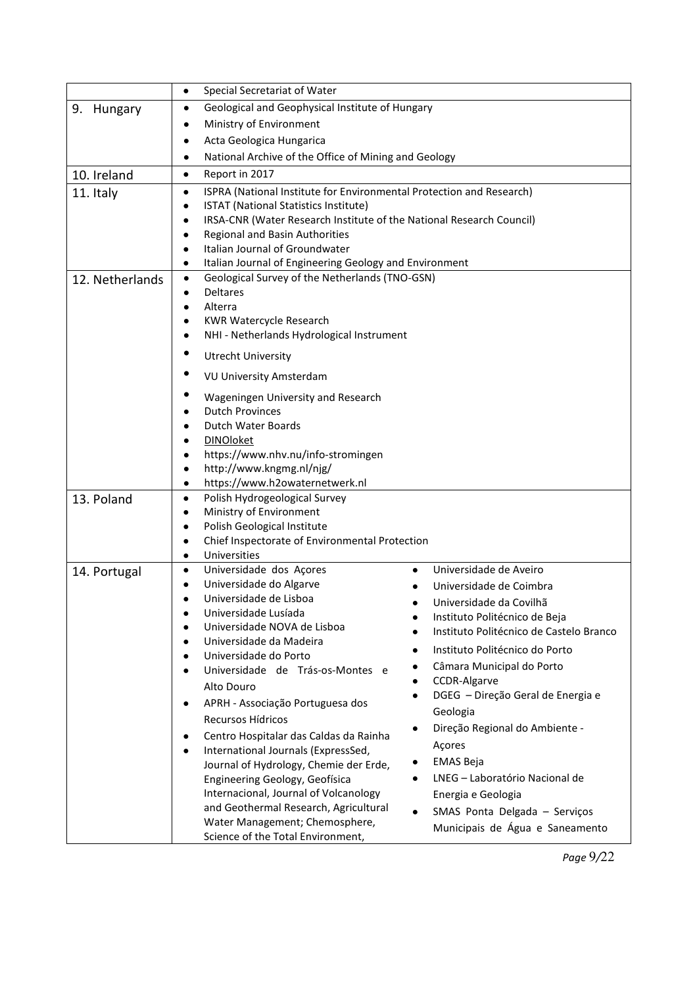|                 | Special Secretariat of Water<br>$\bullet$                                            |  |  |  |  |
|-----------------|--------------------------------------------------------------------------------------|--|--|--|--|
| 9. Hungary      | Geological and Geophysical Institute of Hungary<br>٠                                 |  |  |  |  |
|                 | Ministry of Environment<br>٠                                                         |  |  |  |  |
|                 | Acta Geologica Hungarica<br>٠                                                        |  |  |  |  |
|                 | National Archive of the Office of Mining and Geology<br>$\bullet$                    |  |  |  |  |
| 10. Ireland     | Report in 2017<br>$\bullet$                                                          |  |  |  |  |
| 11. Italy       | ISPRA (National Institute for Environmental Protection and Research)<br>$\bullet$    |  |  |  |  |
|                 | ISTAT (National Statistics Institute)<br>$\bullet$                                   |  |  |  |  |
|                 | IRSA-CNR (Water Research Institute of the National Research Council)<br>$\bullet$    |  |  |  |  |
|                 | Regional and Basin Authorities                                                       |  |  |  |  |
|                 | Italian Journal of Groundwater                                                       |  |  |  |  |
|                 | Italian Journal of Engineering Geology and Environment<br>$\bullet$                  |  |  |  |  |
| 12. Netherlands | Geological Survey of the Netherlands (TNO-GSN)<br>$\bullet$                          |  |  |  |  |
|                 | <b>Deltares</b><br>$\bullet$                                                         |  |  |  |  |
|                 | Alterra<br>$\bullet$<br><b>KWR Watercycle Research</b>                               |  |  |  |  |
|                 | ٠<br>NHI - Netherlands Hydrological Instrument<br>٠                                  |  |  |  |  |
|                 |                                                                                      |  |  |  |  |
|                 | <b>Utrecht University</b>                                                            |  |  |  |  |
|                 | <b>VU University Amsterdam</b>                                                       |  |  |  |  |
|                 | Wageningen University and Research<br><b>Dutch Provinces</b>                         |  |  |  |  |
|                 | Dutch Water Boards                                                                   |  |  |  |  |
|                 | <b>DINOloket</b><br>$\bullet$                                                        |  |  |  |  |
|                 | https://www.nhv.nu/info-stromingen<br>$\bullet$                                      |  |  |  |  |
|                 | http://www.kngmg.nl/njg/<br>$\bullet$                                                |  |  |  |  |
|                 | https://www.h2owaternetwerk.nl<br>$\bullet$                                          |  |  |  |  |
| 13. Poland      | Polish Hydrogeological Survey<br>$\bullet$                                           |  |  |  |  |
|                 | Ministry of Environment<br>$\bullet$                                                 |  |  |  |  |
|                 | Polish Geological Institute<br>$\bullet$                                             |  |  |  |  |
|                 | Chief Inspectorate of Environmental Protection<br>$\bullet$                          |  |  |  |  |
|                 | Universities<br>$\bullet$                                                            |  |  |  |  |
| 14. Portugal    | Universidade dos Açores<br>Universidade de Aveiro<br>$\bullet$                       |  |  |  |  |
|                 | Universidade do Algarve<br>$\bullet$<br>Universidade de Coimbra                      |  |  |  |  |
|                 | Universidade de Lisboa<br>٠<br>Universidade da Covilhã                               |  |  |  |  |
|                 | Universidade Lusíada<br>Instituto Politécnico de Beja<br>Universidade NOVA de Lisboa |  |  |  |  |
|                 | Instituto Politécnico de Castelo Branco<br>Universidade da Madeira<br>$\bullet$      |  |  |  |  |
|                 | Instituto Politécnico do Porto<br>Universidade do Porto<br>$\bullet$                 |  |  |  |  |
|                 | Câmara Municipal do Porto<br>Universidade de Trás-os-Montes e                        |  |  |  |  |
|                 | CCDR-Algarve<br>Alto Douro                                                           |  |  |  |  |
|                 | DGEG - Direção Geral de Energia e<br>APRH - Associação Portuguesa dos                |  |  |  |  |
|                 | Geologia<br>Recursos Hídricos                                                        |  |  |  |  |
|                 | Direção Regional do Ambiente -<br>Centro Hospitalar das Caldas da Rainha             |  |  |  |  |
|                 | Açores<br>International Journals (ExpressSed,                                        |  |  |  |  |
|                 | <b>EMAS Beja</b><br>Journal of Hydrology, Chemie der Erde,                           |  |  |  |  |
|                 | LNEG - Laboratório Nacional de<br>Engineering Geology, Geofísica                     |  |  |  |  |
|                 | Internacional, Journal of Volcanology<br>Energia e Geologia                          |  |  |  |  |
|                 | and Geothermal Research, Agricultural<br>SMAS Ponta Delgada - Serviços<br>$\bullet$  |  |  |  |  |
|                 | Water Management; Chemosphere,<br>Municipais de Água e Saneamento                    |  |  |  |  |
|                 | Science of the Total Environment,                                                    |  |  |  |  |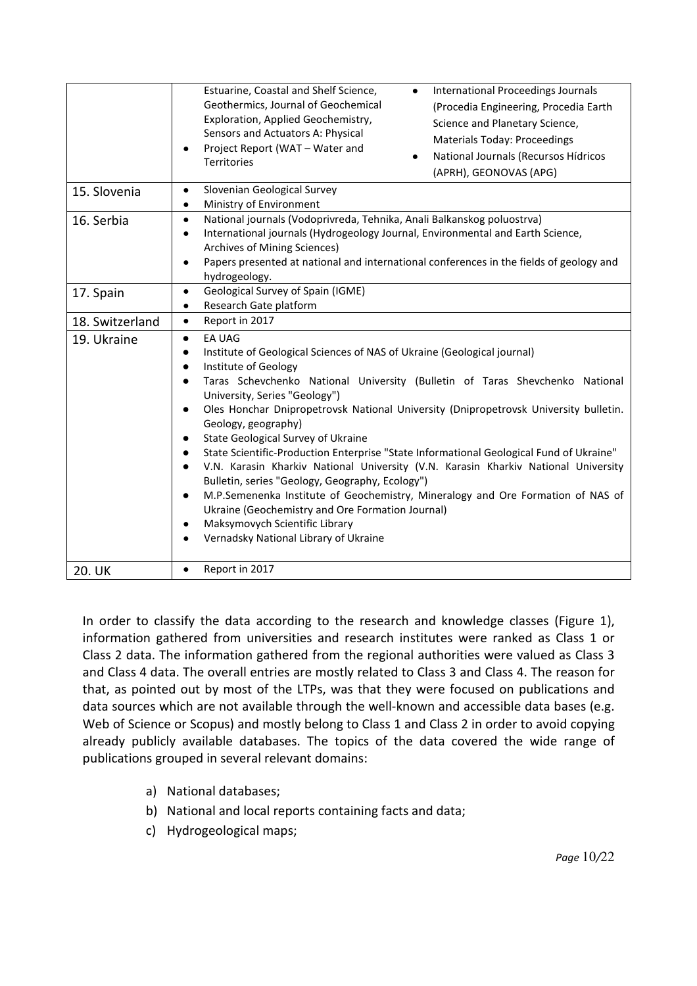|                 | Estuarine, Coastal and Shelf Science,<br>International Proceedings Journals<br>$\bullet$<br>Geothermics, Journal of Geochemical<br>(Procedia Engineering, Procedia Earth<br>Exploration, Applied Geochemistry,<br>Science and Planetary Science,<br>Sensors and Actuators A: Physical<br><b>Materials Today: Proceedings</b><br>Project Report (WAT - Water and<br>National Journals (Recursos Hídricos<br>$\bullet$<br>Territories<br>(APRH), GEONOVAS (APG)                                                                                                                                                                                                                                                                                                                                                                                                                                    |  |  |  |  |
|-----------------|--------------------------------------------------------------------------------------------------------------------------------------------------------------------------------------------------------------------------------------------------------------------------------------------------------------------------------------------------------------------------------------------------------------------------------------------------------------------------------------------------------------------------------------------------------------------------------------------------------------------------------------------------------------------------------------------------------------------------------------------------------------------------------------------------------------------------------------------------------------------------------------------------|--|--|--|--|
| 15. Slovenia    | Slovenian Geological Survey<br>$\bullet$<br>Ministry of Environment                                                                                                                                                                                                                                                                                                                                                                                                                                                                                                                                                                                                                                                                                                                                                                                                                              |  |  |  |  |
| 16. Serbia      | National journals (Vodoprivreda, Tehnika, Anali Balkanskog poluostrva)<br>$\bullet$<br>International journals (Hydrogeology Journal, Environmental and Earth Science,<br>$\bullet$<br>Archives of Mining Sciences)<br>Papers presented at national and international conferences in the fields of geology and<br>$\bullet$<br>hydrogeology.                                                                                                                                                                                                                                                                                                                                                                                                                                                                                                                                                      |  |  |  |  |
| 17. Spain       | Geological Survey of Spain (IGME)<br>$\bullet$<br>Research Gate platform<br>$\bullet$                                                                                                                                                                                                                                                                                                                                                                                                                                                                                                                                                                                                                                                                                                                                                                                                            |  |  |  |  |
| 18. Switzerland | Report in 2017<br>$\bullet$                                                                                                                                                                                                                                                                                                                                                                                                                                                                                                                                                                                                                                                                                                                                                                                                                                                                      |  |  |  |  |
| 19. Ukraine     | <b>EA UAG</b><br>$\bullet$<br>Institute of Geological Sciences of NAS of Ukraine (Geological journal)<br>Institute of Geology<br>$\bullet$<br>Taras Schevchenko National University (Bulletin of Taras Shevchenko National<br>University, Series "Geology")<br>Oles Honchar Dnipropetrovsk National University (Dnipropetrovsk University bulletin.<br>$\bullet$<br>Geology, geography)<br>State Geological Survey of Ukraine<br>State Scientific-Production Enterprise "State Informational Geological Fund of Ukraine"<br>V.N. Karasin Kharkiv National University (V.N. Karasin Kharkiv National University<br>Bulletin, series "Geology, Geography, Ecology")<br>M.P.Semenenka Institute of Geochemistry, Mineralogy and Ore Formation of NAS of<br>Ukraine (Geochemistry and Ore Formation Journal)<br>Maksymovych Scientific Library<br>$\bullet$<br>Vernadsky National Library of Ukraine |  |  |  |  |
| 20. UK          | Report in 2017                                                                                                                                                                                                                                                                                                                                                                                                                                                                                                                                                                                                                                                                                                                                                                                                                                                                                   |  |  |  |  |

In order to classify the data according to the research and knowledge classes (Figure 1), information gathered from universities and research institutes were ranked as Class 1 or Class 2 data. The information gathered from the regional authorities were valued as Class 3 and Class 4 data. The overall entries are mostly related to Class 3 and Class 4. The reason for that, as pointed out by most of the LTPs, was that they were focused on publications and data sources which are not available through the well-known and accessible data bases (e.g. Web of Science or Scopus) and mostly belong to Class 1 and Class 2 in order to avoid copying already publicly available databases. The topics of the data covered the wide range of publications grouped in several relevant domains:

- a) National databases;
- b) National and local reports containing facts and data;
- c) Hydrogeological maps;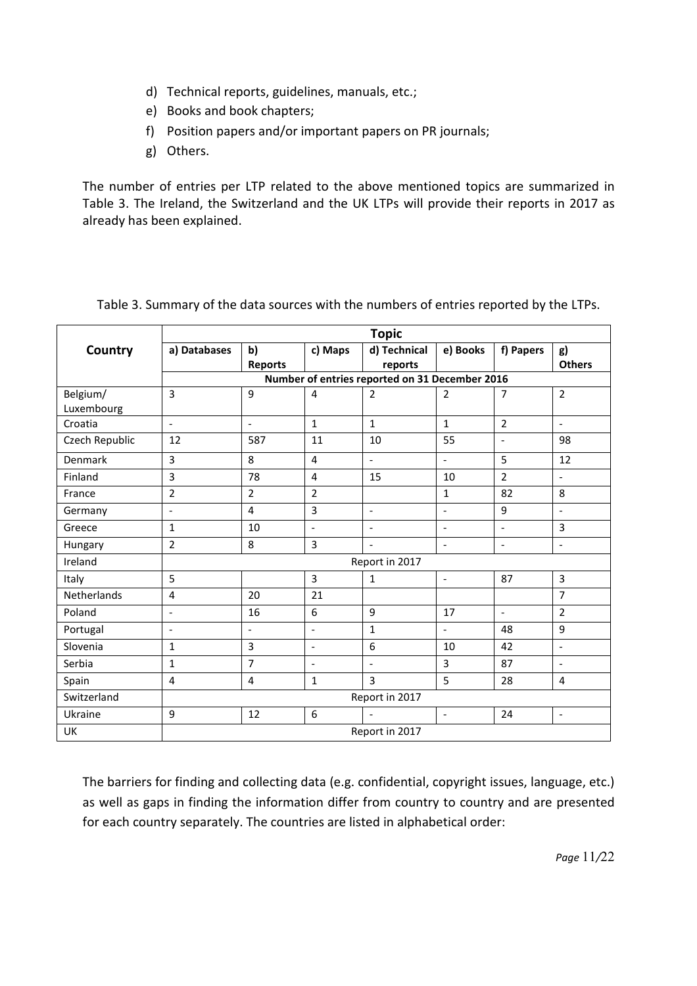- d) Technical reports, guidelines, manuals, etc.;
- e) Books and book chapters;
- f) Position papers and/or important papers on PR journals;
- g) Others.

The number of entries per LTP related to the above mentioned topics are summarized in Table 3. The Ireland, the Switzerland and the UK LTPs will provide their reports in 2017 as already has been explained.

|                        | <b>Topic</b>             |                          |                          |                                                |                          |                          |                          |
|------------------------|--------------------------|--------------------------|--------------------------|------------------------------------------------|--------------------------|--------------------------|--------------------------|
| Country                | a) Databases             | b)<br><b>Reports</b>     | c) Maps                  | d) Technical<br>reports                        | e) Books                 | f) Papers                | g)<br><b>Others</b>      |
|                        |                          |                          |                          | Number of entries reported on 31 December 2016 |                          |                          |                          |
| Belgium/<br>Luxembourg | $\overline{3}$           | 9                        | 4                        | $\overline{2}$                                 | $\overline{2}$           | $\overline{7}$           | $\overline{2}$           |
| Croatia                | $\blacksquare$           | $\overline{\phantom{a}}$ | $\mathbf{1}$             | $\mathbf{1}$                                   | $\mathbf{1}$             | $\overline{2}$           | $\blacksquare$           |
| Czech Republic         | 12                       | 587                      | 11                       | 10                                             | 55                       | $\overline{\phantom{a}}$ | 98                       |
| Denmark                | $\overline{3}$           | 8                        | 4                        | $\overline{\phantom{a}}$                       | $\overline{a}$           | 5                        | 12                       |
| Finland                | $\overline{3}$           | 78                       | 4                        | 15                                             | 10                       | $\overline{2}$           | $\blacksquare$           |
| France                 | $\overline{2}$           | $\overline{2}$           | $\overline{2}$           |                                                | $\mathbf{1}$             | 82                       | 8                        |
| Germany                | $\overline{\phantom{a}}$ | $\overline{4}$           | 3                        | $\Box$                                         | $\overline{a}$           | 9                        | $\blacksquare$           |
| Greece                 | $\mathbf{1}$             | 10                       | $\overline{a}$           | $\overline{\phantom{a}}$                       | $\overline{a}$           | $\overline{a}$           | $\overline{3}$           |
| Hungary                | $\overline{2}$           | 8                        | $\overline{3}$           | $\overline{\phantom{a}}$                       | $\overline{a}$           | $\frac{1}{2}$            | $\bar{\phantom{a}}$      |
| Ireland                |                          |                          |                          | Report in 2017                                 |                          |                          |                          |
| Italy                  | 5                        |                          | $\overline{3}$           | $\mathbf 1$                                    | $\overline{a}$           | 87                       | $\overline{3}$           |
| Netherlands            | $\overline{4}$           | 20                       | 21                       |                                                |                          |                          | $\overline{7}$           |
| Poland                 | $\overline{a}$           | 16                       | 6                        | 9                                              | 17                       | $\blacksquare$           | $\overline{2}$           |
| Portugal               | $\blacksquare$           | $\blacksquare$           | $\blacksquare$           | $\mathbf{1}$                                   | $\overline{\phantom{a}}$ | 48                       | 9                        |
| Slovenia               | $\mathbf{1}$             | 3                        | $\overline{\phantom{a}}$ | 6                                              | 10                       | 42                       | $\blacksquare$           |
| Serbia                 | $\mathbf{1}$             | $\overline{7}$           | $\overline{\phantom{a}}$ | $\blacksquare$                                 | $\overline{3}$           | 87                       | $\overline{\phantom{a}}$ |
| Spain                  | $\overline{4}$           | $\overline{\mathbf{4}}$  | $\mathbf{1}$             | $\overline{3}$                                 | 5                        | 28                       | $\overline{4}$           |
| Switzerland            | Report in 2017           |                          |                          |                                                |                          |                          |                          |
| Ukraine                | 9                        | 12                       | 6                        | $\blacksquare$                                 | $\overline{\phantom{a}}$ | 24                       | $\blacksquare$           |
| UK                     | Report in 2017           |                          |                          |                                                |                          |                          |                          |

Table 3. Summary of the data sources with the numbers of entries reported by the LTPs.

The barriers for finding and collecting data (e.g. confidential, copyright issues, language, etc.) as well as gaps in finding the information differ from country to country and are presented for each country separately. The countries are listed in alphabetical order: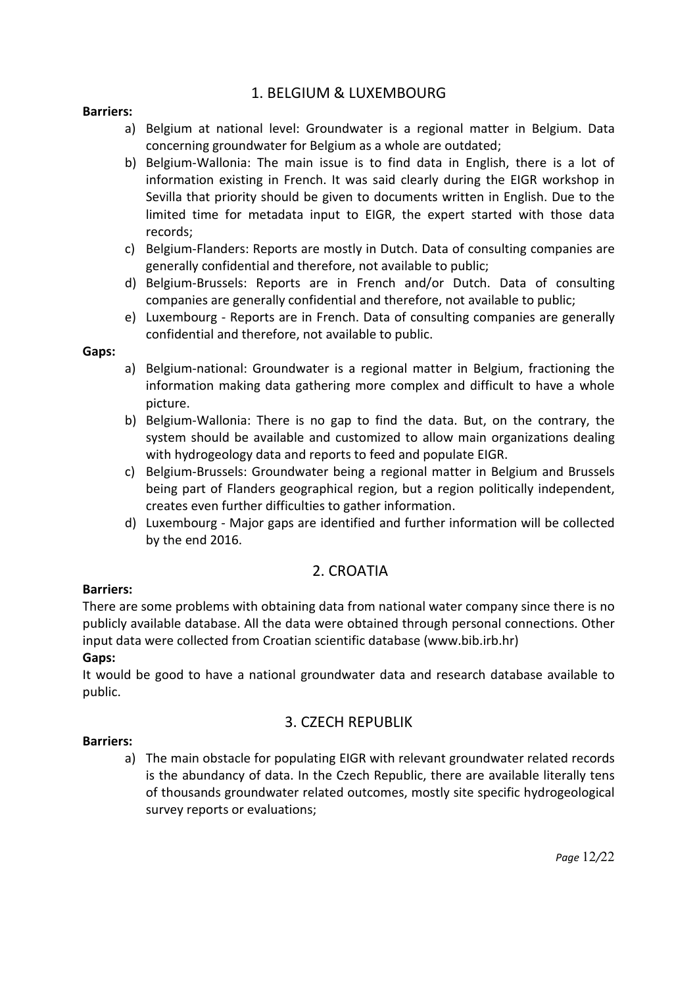## 1. BELGIUM & LUXEMBOURG

#### **Barriers:**

- a) Belgium at national level: Groundwater is a regional matter in Belgium. Data concerning groundwater for Belgium as a whole are outdated;
- b) Belgium-Wallonia: The main issue is to find data in English, there is a lot of information existing in French. It was said clearly during the EIGR workshop in Sevilla that priority should be given to documents written in English. Due to the limited time for metadata input to EIGR, the expert started with those data records;
- c) Belgium-Flanders: Reports are mostly in Dutch. Data of consulting companies are generally confidential and therefore, not available to public;
- d) Belgium-Brussels: Reports are in French and/or Dutch. Data of consulting companies are generally confidential and therefore, not available to public;
- e) Luxembourg Reports are in French. Data of consulting companies are generally confidential and therefore, not available to public.

#### **Gaps:**

- a) Belgium-national: Groundwater is a regional matter in Belgium, fractioning the information making data gathering more complex and difficult to have a whole picture.
- b) Belgium-Wallonia: There is no gap to find the data. But, on the contrary, the system should be available and customized to allow main organizations dealing with hydrogeology data and reports to feed and populate EIGR.
- c) Belgium-Brussels: Groundwater being a regional matter in Belgium and Brussels being part of Flanders geographical region, but a region politically independent, creates even further difficulties to gather information.
- d) Luxembourg Major gaps are identified and further information will be collected by the end 2016.

## 2. CROATIA

#### **Barriers:**

There are some problems with obtaining data from national water company since there is no publicly available database. All the data were obtained through personal connections. Other input data were collected from Croatian scientific database (www.bib.irb.hr)

## **Gaps:**

It would be good to have a national groundwater data and research database available to public.

### 3. CZECH REPUBLIK

#### **Barriers:**

a) The main obstacle for populating EIGR with relevant groundwater related records is the abundancy of data. In the Czech Republic, there are available literally tens of thousands groundwater related outcomes, mostly site specific hydrogeological survey reports or evaluations;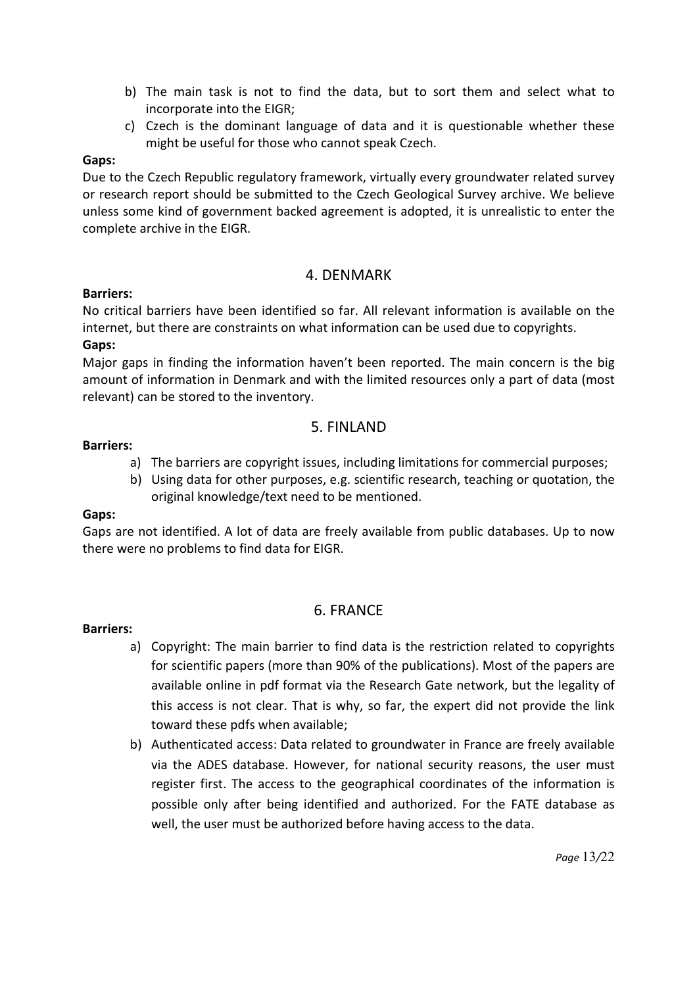- b) The main task is not to find the data, but to sort them and select what to incorporate into the EIGR;
- c) Czech is the dominant language of data and it is questionable whether these might be useful for those who cannot speak Czech.

#### **Gaps:**

Due to the Czech Republic regulatory framework, virtually every groundwater related survey or research report should be submitted to the Czech Geological Survey archive. We believe unless some kind of government backed agreement is adopted, it is unrealistic to enter the complete archive in the EIGR.

## 4. DENMARK

#### **Barriers:**

No critical barriers have been identified so far. All relevant information is available on the internet, but there are constraints on what information can be used due to copyrights. **Gaps:**

Major gaps in finding the information haven't been reported. The main concern is the big amount of information in Denmark and with the limited resources only a part of data (most relevant) can be stored to the inventory.

## 5. FINLAND

#### **Barriers:**

- a) The barriers are copyright issues, including limitations for commercial purposes;
- b) Using data for other purposes, e.g. scientific research, teaching or quotation, the original knowledge/text need to be mentioned.

#### **Gaps:**

Gaps are not identified. A lot of data are freely available from public databases. Up to now there were no problems to find data for EIGR.

## 6. FRANCE

#### **Barriers:**

- a) Copyright: The main barrier to find data is the restriction related to copyrights for scientific papers (more than 90% of the publications). Most of the papers are available online in pdf format via the Research Gate network, but the legality of this access is not clear. That is why, so far, the expert did not provide the link toward these pdfs when available;
- b) Authenticated access: Data related to groundwater in France are freely available via the ADES database. However, for national security reasons, the user must register first. The access to the geographical coordinates of the information is possible only after being identified and authorized. For the FATE database as well, the user must be authorized before having access to the data.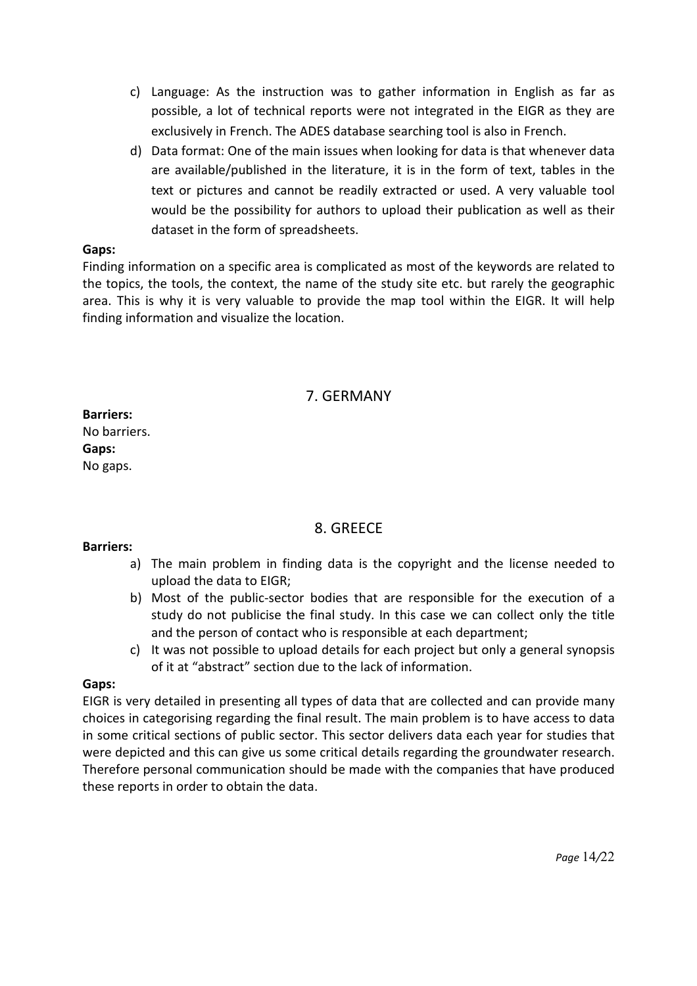- c) Language: As the instruction was to gather information in English as far as possible, a lot of technical reports were not integrated in the EIGR as they are exclusively in French. The ADES database searching tool is also in French.
- d) Data format: One of the main issues when looking for data is that whenever data are available/published in the literature, it is in the form of text, tables in the text or pictures and cannot be readily extracted or used. A very valuable tool would be the possibility for authors to upload their publication as well as their dataset in the form of spreadsheets.

#### **Gaps:**

Finding information on a specific area is complicated as most of the keywords are related to the topics, the tools, the context, the name of the study site etc. but rarely the geographic area. This is why it is very valuable to provide the map tool within the EIGR. It will help finding information and visualize the location.

## 7. GERMANY

**Barriers:** No barriers. **Gaps:** No gaps.

## 8. GREECE

#### **Barriers:**

- a) The main problem in finding data is the copyright and the license needed to upload the data to EIGR;
- b) Most of the public-sector bodies that are responsible for the execution of a study do not publicise the final study. In this case we can collect only the title and the person of contact who is responsible at each department;
- c) It was not possible to upload details for each project but only a general synopsis of it at "abstract" section due to the lack of information.

#### **Gaps:**

EIGR is very detailed in presenting all types of data that are collected and can provide many choices in categorising regarding the final result. The main problem is to have access to data in some critical sections of public sector. This sector delivers data each year for studies that were depicted and this can give us some critical details regarding the groundwater research. Therefore personal communication should be made with the companies that have produced these reports in order to obtain the data.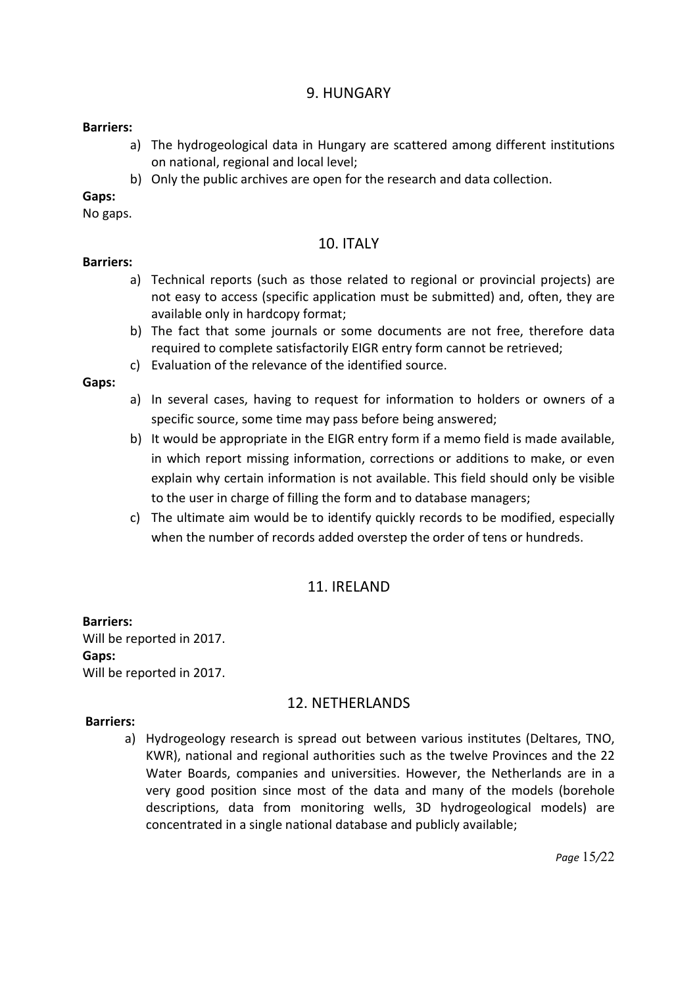## 9. HUNGARY

#### **Barriers:**

- a) The hydrogeological data in Hungary are scattered among different institutions on national, regional and local level;
- b) Only the public archives are open for the research and data collection.

#### **Gaps:**

No gaps.

#### 10. ITALY

#### **Barriers:**

- a) Technical reports (such as those related to regional or provincial projects) are not easy to access (specific application must be submitted) and, often, they are available only in hardcopy format;
- b) The fact that some journals or some documents are not free, therefore data required to complete satisfactorily EIGR entry form cannot be retrieved;
- c) Evaluation of the relevance of the identified source.

#### **Gaps:**

- a) In several cases, having to request for information to holders or owners of a specific source, some time may pass before being answered;
- b) It would be appropriate in the EIGR entry form if a memo field is made available, in which report missing information, corrections or additions to make, or even explain why certain information is not available. This field should only be visible to the user in charge of filling the form and to database managers;
- c) The ultimate aim would be to identify quickly records to be modified, especially when the number of records added overstep the order of tens or hundreds.

### 11. IRELAND

#### **Barriers:** Will be reported in 2017. **Gaps:** Will be reported in 2017.

### 12. NETHERLANDS

#### **Barriers:**

a) Hydrogeology research is spread out between various institutes (Deltares, TNO, KWR), national and regional authorities such as the twelve Provinces and the 22 Water Boards, companies and universities. However, the Netherlands are in a very good position since most of the data and many of the models (borehole descriptions, data from monitoring wells, 3D hydrogeological models) are concentrated in a single national database and publicly available;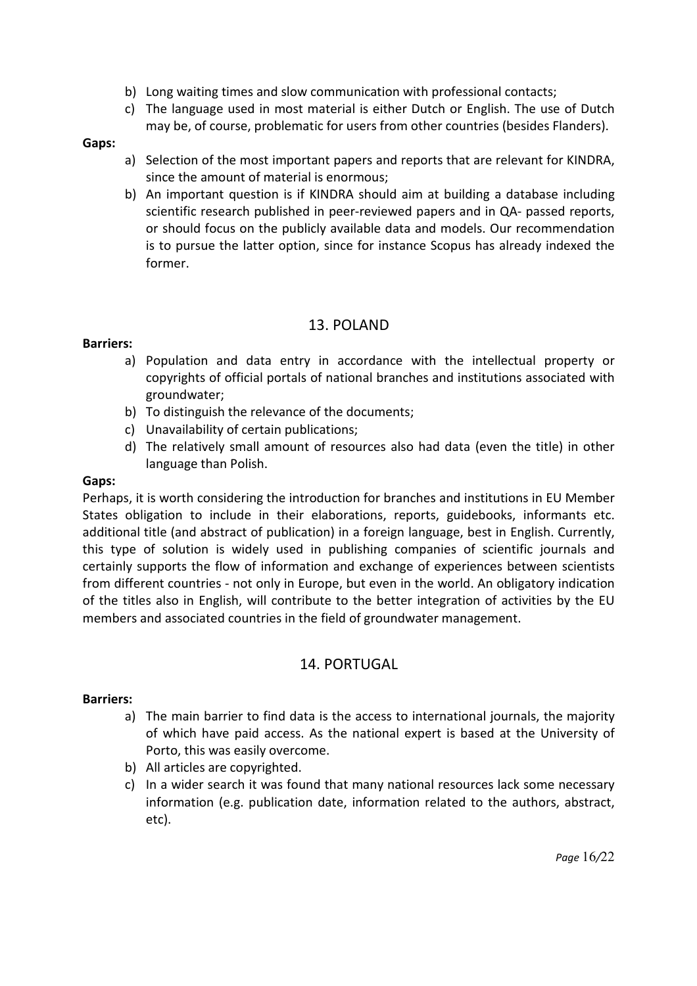- b) Long waiting times and slow communication with professional contacts;
- c) The language used in most material is either Dutch or English. The use of Dutch may be, of course, problematic for users from other countries (besides Flanders).

#### **Gaps:**

- a) Selection of the most important papers and reports that are relevant for KINDRA, since the amount of material is enormous;
- b) An important question is if KINDRA should aim at building a database including scientific research published in peer-reviewed papers and in QA- passed reports, or should focus on the publicly available data and models. Our recommendation is to pursue the latter option, since for instance Scopus has already indexed the former.

## 13. POLAND

#### **Barriers:**

- a) Population and data entry in accordance with the intellectual property or copyrights of official portals of national branches and institutions associated with groundwater;
- b) To distinguish the relevance of the documents;
- c) Unavailability of certain publications;
- d) The relatively small amount of resources also had data (even the title) in other language than Polish.

#### **Gaps:**

Perhaps, it is worth considering the introduction for branches and institutions in EU Member States obligation to include in their elaborations, reports, guidebooks, informants etc. additional title (and abstract of publication) in a foreign language, best in English. Currently, this type of solution is widely used in publishing companies of scientific journals and certainly supports the flow of information and exchange of experiences between scientists from different countries - not only in Europe, but even in the world. An obligatory indication of the titles also in English, will contribute to the better integration of activities by the EU members and associated countries in the field of groundwater management.

## 14. PORTUGAL

#### **Barriers:**

- a) The main barrier to find data is the access to international journals, the majority of which have paid access. As the national expert is based at the University of Porto, this was easily overcome.
- b) All articles are copyrighted.
- c) In a wider search it was found that many national resources lack some necessary information (e.g. publication date, information related to the authors, abstract, etc).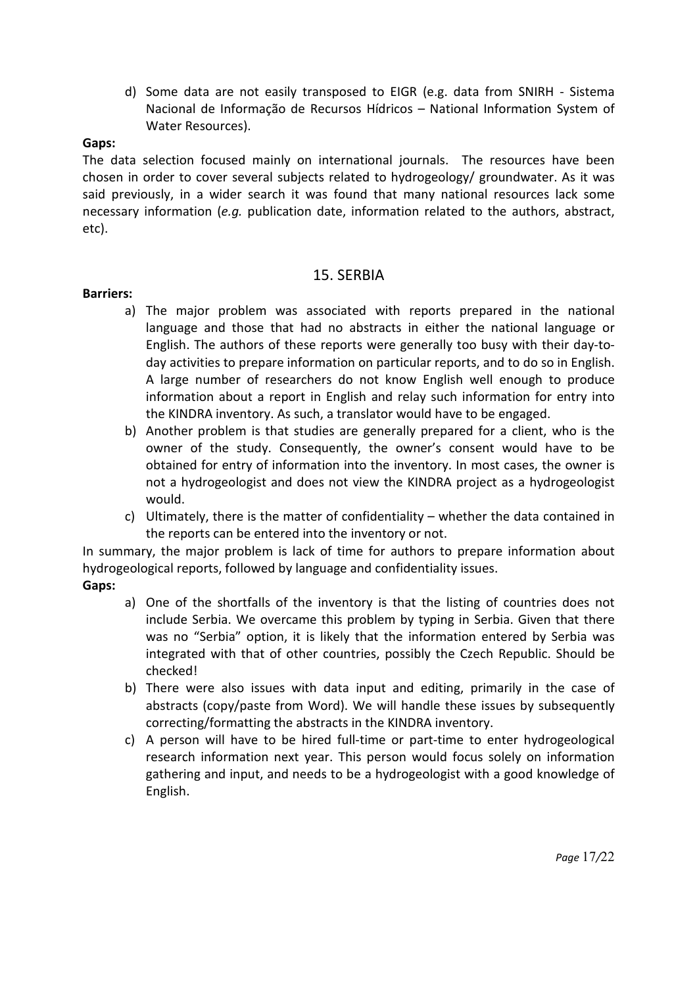d) Some data are not easily transposed to EIGR (e.g. data from SNIRH - Sistema Nacional de Informação de Recursos Hídricos – National Information System of Water Resources).

#### **Gaps:**

The data selection focused mainly on international journals. The resources have been chosen in order to cover several subjects related to hydrogeology/ groundwater. As it was said previously, in a wider search it was found that many national resources lack some necessary information (*e.g.* publication date, information related to the authors, abstract, etc).

## 15. SERBIA

#### **Barriers:**

- a) The major problem was associated with reports prepared in the national language and those that had no abstracts in either the national language or English. The authors of these reports were generally too busy with their day-today activities to prepare information on particular reports, and to do so in English. A large number of researchers do not know English well enough to produce information about a report in English and relay such information for entry into the KINDRA inventory. As such, a translator would have to be engaged.
- b) Another problem is that studies are generally prepared for a client, who is the owner of the study. Consequently, the owner's consent would have to be obtained for entry of information into the inventory. In most cases, the owner is not a hydrogeologist and does not view the KINDRA project as a hydrogeologist would.
- c) Ultimately, there is the matter of confidentiality whether the data contained in the reports can be entered into the inventory or not.

In summary, the major problem is lack of time for authors to prepare information about hydrogeological reports, followed by language and confidentiality issues.

### **Gaps:**

- a) One of the shortfalls of the inventory is that the listing of countries does not include Serbia. We overcame this problem by typing in Serbia. Given that there was no "Serbia" option, it is likely that the information entered by Serbia was integrated with that of other countries, possibly the Czech Republic. Should be checked!
- b) There were also issues with data input and editing, primarily in the case of abstracts (copy/paste from Word). We will handle these issues by subsequently correcting/formatting the abstracts in the KINDRA inventory.
- c) A person will have to be hired full-time or part-time to enter hydrogeological research information next year. This person would focus solely on information gathering and input, and needs to be a hydrogeologist with a good knowledge of English.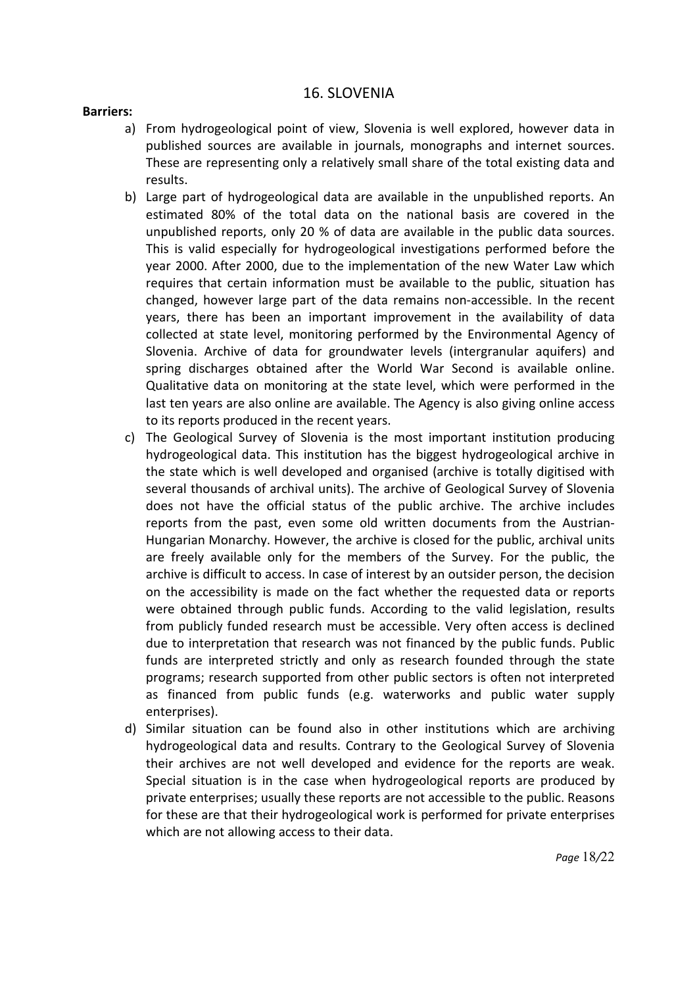#### 16. SLOVENIA

#### **Barriers:**

- a) From hydrogeological point of view, Slovenia is well explored, however data in published sources are available in journals, monographs and internet sources. These are representing only a relatively small share of the total existing data and results.
- b) Large part of hydrogeological data are available in the unpublished reports. An estimated 80% of the total data on the national basis are covered in the unpublished reports, only 20 % of data are available in the public data sources. This is valid especially for hydrogeological investigations performed before the year 2000. After 2000, due to the implementation of the new Water Law which requires that certain information must be available to the public, situation has changed, however large part of the data remains non-accessible. In the recent years, there has been an important improvement in the availability of data collected at state level, monitoring performed by the Environmental Agency of Slovenia. Archive of data for groundwater levels (intergranular aquifers) and spring discharges obtained after the World War Second is available online. Qualitative data on monitoring at the state level, which were performed in the last ten years are also online are available. The Agency is also giving online access to its reports produced in the recent years.
- c) The Geological Survey of Slovenia is the most important institution producing hydrogeological data. This institution has the biggest hydrogeological archive in the state which is well developed and organised (archive is totally digitised with several thousands of archival units). The archive of Geological Survey of Slovenia does not have the official status of the public archive. The archive includes reports from the past, even some old written documents from the Austrian-Hungarian Monarchy. However, the archive is closed for the public, archival units are freely available only for the members of the Survey. For the public, the archive is difficult to access. In case of interest by an outsider person, the decision on the accessibility is made on the fact whether the requested data or reports were obtained through public funds. According to the valid legislation, results from publicly funded research must be accessible. Very often access is declined due to interpretation that research was not financed by the public funds. Public funds are interpreted strictly and only as research founded through the state programs; research supported from other public sectors is often not interpreted as financed from public funds (e.g. waterworks and public water supply enterprises).
- d) Similar situation can be found also in other institutions which are archiving hydrogeological data and results. Contrary to the Geological Survey of Slovenia their archives are not well developed and evidence for the reports are weak. Special situation is in the case when hydrogeological reports are produced by private enterprises; usually these reports are not accessible to the public. Reasons for these are that their hydrogeological work is performed for private enterprises which are not allowing access to their data.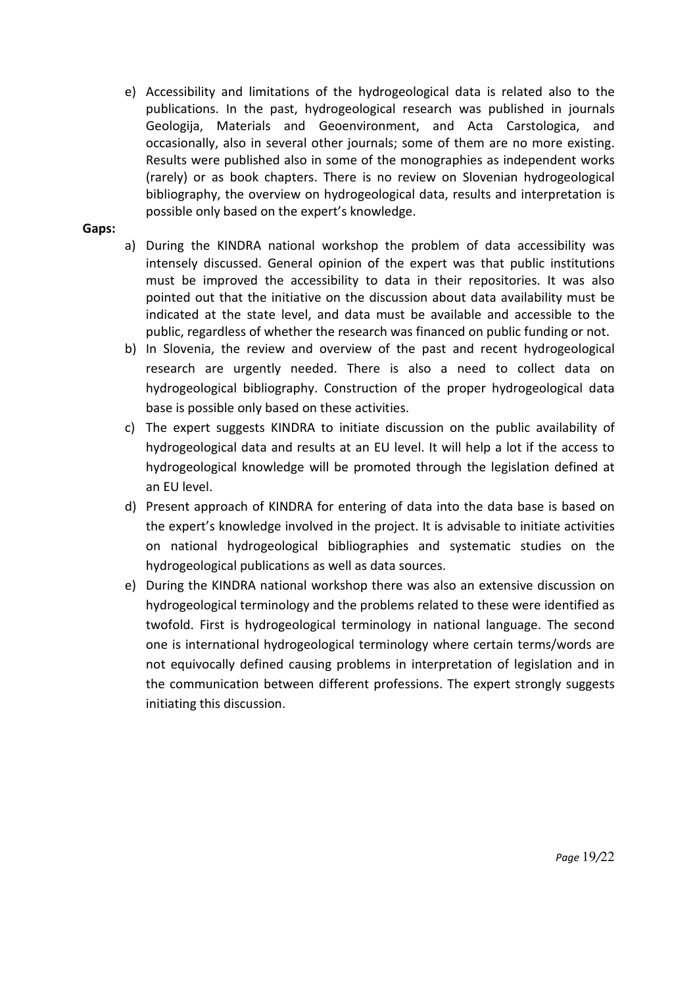e) Accessibility and limitations of the hydrogeological data is related also to the publications. In the past, hydrogeological research was published in journals Geologija, Materials and Geoenvironment, and Acta Carstologica, and occasionally, also in several other journals; some of them are no more existing. Results were published also in some of the monographies as independent works (rarely) or as book chapters. There is no review on Slovenian hydrogeological bibliography, the overview on hydrogeological data, results and interpretation is possible only based on the expert's knowledge.

#### **Gaps:**

- a) During the KINDRA national workshop the problem of data accessibility was intensely discussed. General opinion of the expert was that public institutions must be improved the accessibility to data in their repositories. It was also pointed out that the initiative on the discussion about data availability must be indicated at the state level, and data must be available and accessible to the public, regardless of whether the research was financed on public funding or not.
- b) In Slovenia, the review and overview of the past and recent hydrogeological research are urgently needed. There is also a need to collect data on hydrogeological bibliography. Construction of the proper hydrogeological data base is possible only based on these activities.
- c) The expert suggests KINDRA to initiate discussion on the public availability of hydrogeological data and results at an EU level. It will help a lot if the access to hydrogeological knowledge will be promoted through the legislation defined at an EU level.
- d) Present approach of KINDRA for entering of data into the data base is based on the expert's knowledge involved in the project. It is advisable to initiate activities on national hydrogeological bibliographies and systematic studies on the hydrogeological publications as well as data sources.
- e) During the KINDRA national workshop there was also an extensive discussion on hydrogeological terminology and the problems related to these were identified as twofold. First is hydrogeological terminology in national language. The second one is international hydrogeological terminology where certain terms/words are not equivocally defined causing problems in interpretation of legislation and in the communication between different professions. The expert strongly suggests initiating this discussion.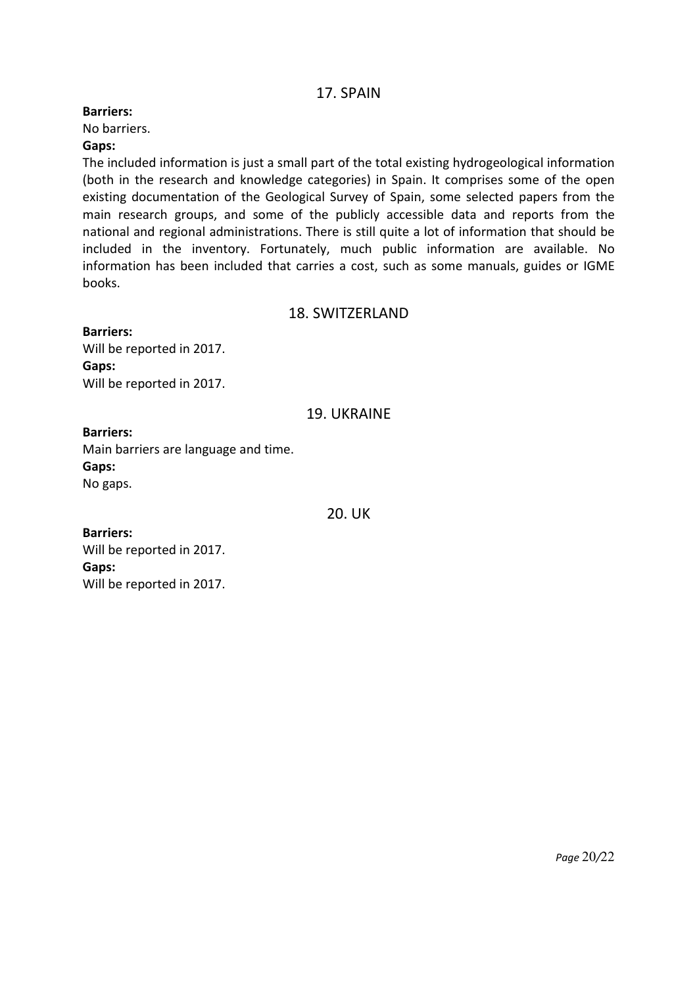## 17. SPAIN

#### **Barriers:**

No barriers.

#### **Gaps:**

The included information is just a small part of the total existing hydrogeological information (both in the research and knowledge categories) in Spain. It comprises some of the open existing documentation of the Geological Survey of Spain, some selected papers from the main research groups, and some of the publicly accessible data and reports from the national and regional administrations. There is still quite a lot of information that should be included in the inventory. Fortunately, much public information are available. No information has been included that carries a cost, such as some manuals, guides or IGME books.

### 18. SWITZERLAND

**Barriers:** Will be reported in 2017. **Gaps:**

Will be reported in 2017.

### 19. UKRAINE

#### **Barriers:**

Main barriers are language and time. **Gaps:** No gaps.

20. UK

**Barriers:** Will be reported in 2017. **Gaps:** Will be reported in 2017.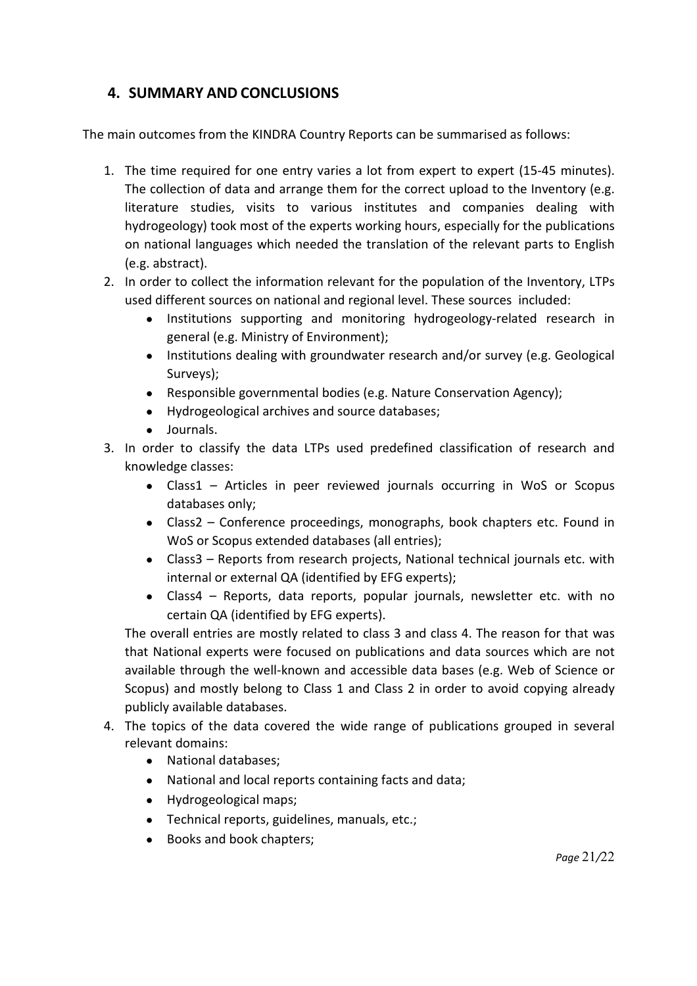## **4. SUMMARY AND CONCLUSIONS**

The main outcomes from the KINDRA Country Reports can be summarised as follows:

- 1. The time required for one entry varies a lot from expert to expert (15-45 minutes). The collection of data and arrange them for the correct upload to the Inventory (e.g. literature studies, visits to various institutes and companies dealing with hydrogeology) took most of the experts working hours, especially for the publications on national languages which needed the translation of the relevant parts to English (e.g. abstract).
- 2. In order to collect the information relevant for the population of the Inventory, LTPs used different sources on national and regional level. These sources included:
	- Institutions supporting and monitoring hydrogeology-related research in general (e.g. Ministry of Environment);
	- Institutions dealing with groundwater research and/or survey (e.g. Geological Surveys);
	- Responsible governmental bodies (e.g. Nature Conservation Agency);
	- Hydrogeological archives and source databases;
	- Journals.
- 3. In order to classify the data LTPs used predefined classification of research and knowledge classes:
	- Class1 Articles in peer reviewed journals occurring in WoS or Scopus databases only;
	- Class2 Conference proceedings, monographs, book chapters etc. Found in WoS or Scopus extended databases (all entries);
	- Class3 Reports from research projects, National technical journals etc. with internal or external QA (identified by EFG experts);
	- Class4 Reports, data reports, popular journals, newsletter etc. with no certain QA (identified by EFG experts).

The overall entries are mostly related to class 3 and class 4. The reason for that was that National experts were focused on publications and data sources which are not available through the well-known and accessible data bases (e.g. Web of Science or Scopus) and mostly belong to Class 1 and Class 2 in order to avoid copying already publicly available databases.

- 4. The topics of the data covered the wide range of publications grouped in several relevant domains:
	- National databases;
	- National and local reports containing facts and data;
	- Hydrogeological maps;
	- Technical reports, guidelines, manuals, etc.;
	- Books and book chapters;